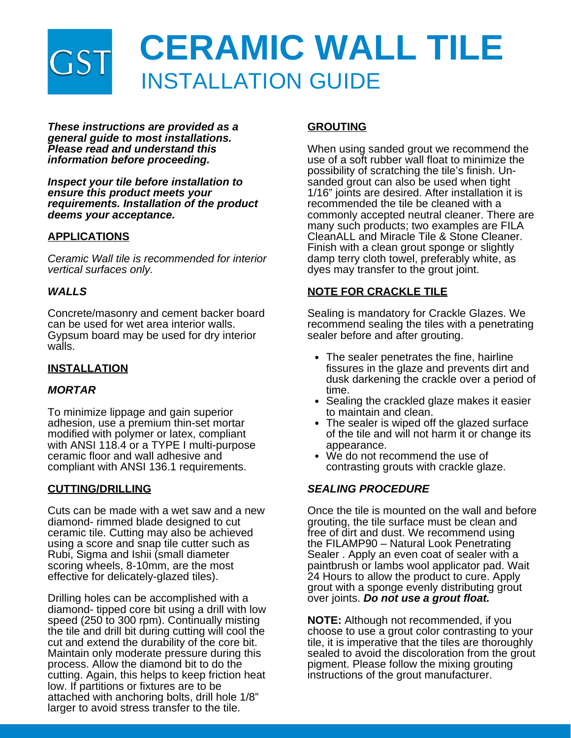

*These instructions are provided as a general guide to most installations. Please read and understand this information before proceeding.*

*Inspect your tile before installation to ensure this product meets your requirements. Installation of the product deems your acceptance.*

## **APPLICATIONS**

*Ceramic Wall tile is recommended for interior vertical surfaces only.*

#### *WALLS*

Concrete/masonry and cement backer board can be used for wet area interior walls. Gypsum board may be used for dry interior walls.

#### **INSTALLATION**

#### *MORTAR*

To minimize lippage and gain superior adhesion, use a premium thin-set mortar modified with polymer or latex, compliant with ANSI 118.4 or a TYPE I multi-purpose ceramic floor and wall adhesive and compliant with ANSI 136.1 requirements.

#### **CUTTING/DRILLING**

Cuts can be made with a wet saw and a new diamond- rimmed blade designed to cut ceramic tile. Cutting may also be achieved using a score and snap tile cutter such as Rubi, Sigma and Ishii (small diameter scoring wheels, 8-10mm, are the most effective for delicately-glazed tiles).

Drilling holes can be accomplished with a diamond- tipped core bit using a drill with low speed (250 to 300 rpm). Continually misting the tile and drill bit during cutting will cool the cut and extend the durability of the core bit. Maintain only moderate pressure during this process. Allow the diamond bit to do the cutting. Again, this helps to keep friction heat low. If partitions or fixtures are to be attached with anchoring bolts, drill hole 1/8" larger to avoid stress transfer to the tile.

### **GROUTING**

When using sanded grout we recommend the use of a soft rubber wall float to minimize the possibility of scratching the tile's finish. Unsanded grout can also be used when tight 1/16" joints are desired. After installation it is recommended the tile be cleaned with a commonly accepted neutral cleaner. There are many such products; two examples are FILA CleanALL and Miracle Tile & Stone Cleaner. Finish with a clean grout sponge or slightly damp terry cloth towel, preferably white, as dyes may transfer to the grout joint.

#### **NOTE FOR CRACKLE TILE**

Sealing is mandatory for Crackle Glazes. We recommend sealing the tiles with a penetrating sealer before and after grouting.

- The sealer penetrates the fine, hairline fissures in the glaze and prevents dirt and dusk darkening the crackle over a period of time.
- Sealing the crackled glaze makes it easier to maintain and clean.
- The sealer is wiped off the glazed surface of the tile and will not harm it or change its appearance.
- We do not recommend the use of contrasting grouts with crackle glaze.

#### *SEALING PROCEDURE*

Once the tile is mounted on the wall and before grouting, the tile surface must be clean and free of dirt and dust. We recommend using the FILAMP90 – Natural Look Penetrating Sealer . Apply an even coat of sealer with a paintbrush or lambs wool applicator pad. Wait 24 Hours to allow the product to cure. Apply grout with a sponge evenly distributing grout over joints. *Do not use a grout float.*

**NOTE:** Although not recommended, if you choose to use a grout color contrasting to your tile, it is imperative that the tiles are thoroughly sealed to avoid the discoloration from the grout pigment. Please follow the mixing grouting instructions of the grout manufacturer.